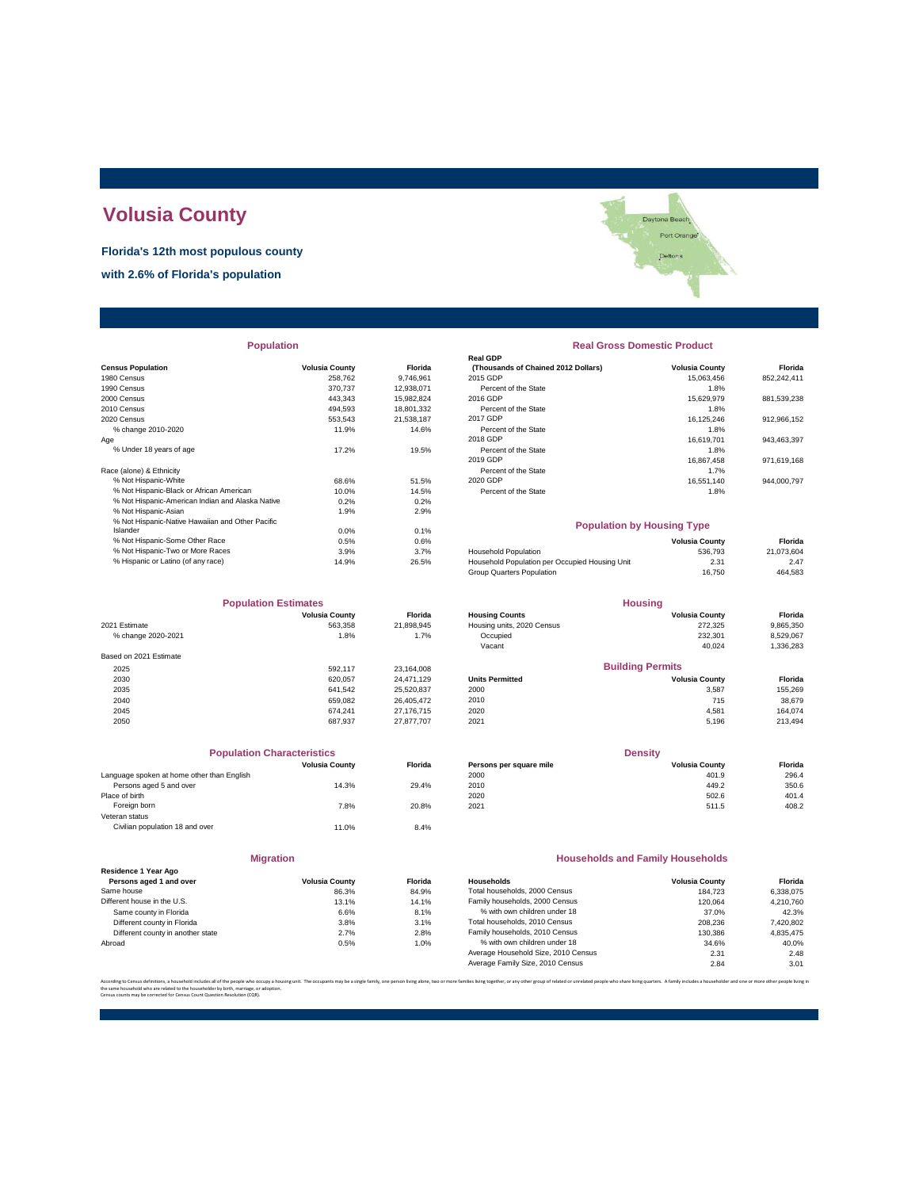# **Volusia County**

**Florida's 12th most populous county**

**with 2.6% of Florida's population**

|                                                  |                       |            | <b>Real GDP</b>                                |                       |             |
|--------------------------------------------------|-----------------------|------------|------------------------------------------------|-----------------------|-------------|
| <b>Census Population</b>                         | <b>Volusia County</b> | Florida    | (Thousands of Chained 2012 Dollars)            | <b>Volusia County</b> | Florida     |
| 1980 Census                                      | 258.762               | 9.746.961  | 2015 GDP                                       | 15.063.456            | 852,242,411 |
| 1990 Census                                      | 370,737               | 12,938,071 | Percent of the State                           | 1.8%                  |             |
| 2000 Census                                      | 443.343               | 15,982,824 | 2016 GDP                                       | 15,629,979            | 881,539,238 |
| 2010 Census                                      | 494,593               | 18,801,332 | Percent of the State                           | 1.8%                  |             |
| 2020 Census                                      | 553.543               | 21.538.187 | 2017 GDP                                       | 16.125.246            | 912,966,152 |
| % change 2010-2020                               | 11.9%                 | 14.6%      | Percent of the State                           | 1.8%                  |             |
| Age                                              |                       |            | 2018 GDP                                       | 16,619,701            | 943,463,397 |
| % Under 18 years of age                          | 17.2%                 | 19.5%      | Percent of the State                           | 1.8%                  |             |
|                                                  |                       |            | 2019 GDP                                       | 16.867.458            | 971,619,168 |
| Race (alone) & Ethnicity                         |                       |            | Percent of the State                           | 1.7%                  |             |
| % Not Hispanic-White                             | 68.6%                 | 51.5%      | 2020 GDP                                       | 16,551,140            | 944,000,797 |
| % Not Hispanic-Black or African American         | 10.0%                 | 14.5%      | Percent of the State                           | 1.8%                  |             |
| % Not Hispanic-American Indian and Alaska Native | 0.2%                  | 0.2%       |                                                |                       |             |
| % Not Hispanic-Asian                             | 1.9%                  | 2.9%       |                                                |                       |             |
| % Not Hispanic-Native Hawaiian and Other Pacific |                       |            | <b>Population by Housing Type</b>              |                       |             |
| Islander                                         | 0.0%                  | 0.1%       |                                                |                       |             |
| % Not Hispanic-Some Other Race                   | 0.5%                  | 0.6%       |                                                | <b>Volusia County</b> | Florida     |
| % Not Hispanic-Two or More Races                 | 3.9%                  | 3.7%       | <b>Household Population</b>                    | 536.793               | 21,073,604  |
| % Hispanic or Latino (of any race)               | 14.9%                 | 26.5%      | Household Population per Occupied Housing Unit | 2.31                  | 2.47        |
|                                                  |                       |            |                                                |                       |             |

| <b>Population Estimates</b> |                       | <b>Housing</b> |                            |                         |           |
|-----------------------------|-----------------------|----------------|----------------------------|-------------------------|-----------|
|                             | <b>Volusia County</b> | <b>Florida</b> | <b>Housing Counts</b>      | <b>Volusia County</b>   | Florida   |
| 2021 Estimate               | 563.358               | 21,898,945     | Housing units, 2020 Census | 272,325                 | 9,865,350 |
| % change 2020-2021          | 1.8%                  | 1.7%           | Occupied                   | 232,301                 | 8,529,067 |
|                             |                       |                | Vacant                     | 40.024                  | 1,336,283 |
| Based on 2021 Estimate      |                       |                |                            |                         |           |
| 2025                        | 592.117               | 23,164,008     |                            | <b>Building Permits</b> |           |
| 2030                        | 620.057               | 24.471.129     | <b>Units Permitted</b>     | <b>Volusia County</b>   | Florida   |
| 2035                        | 641.542               | 25,520,837     | 2000                       | 3,587                   | 155,269   |
| 2040                        | 659.082               | 26.405.472     | 2010                       | 715                     | 38,679    |
| 2045                        | 674.241               | 27.176.715     | 2020                       | 4.581                   | 164.074   |
| 2050                        | 687.937               | 27.877.707     | 2021                       | 5,196                   | 213,494   |

| <b>Volusia County</b> | <b>Florida</b>                    |
|-----------------------|-----------------------------------|
|                       |                                   |
| 14.3%                 | 29.4%                             |
|                       |                                   |
| 7.8%                  | 20.8%                             |
|                       |                                   |
| 11.0%                 | 8.4%                              |
|                       | <b>Population Characteristics</b> |

|                                                 | <b>Migration</b>      |       |
|-------------------------------------------------|-----------------------|-------|
| Residence 1 Year Ago<br>Persons aged 1 and over | <b>Volusia County</b> | Flori |
| Same house                                      | 86.3%                 | 84.9  |
| Different house in the U.S.                     | 13.1%                 | 14.1  |
| Same county in Florida                          | 6.6%                  | 8.1   |
| Different county in Florida                     | 3.8%                  | 3.1   |
| Different county in another state               | 2.7%                  | 2.8   |
| Abroad                                          | 0.5%                  | 1.0   |

Daytona Beach Port Orange Deltona

# **Real GDP** % Under 18 years of age 1.8% percent of the State 11.8% percent of the State 1.8% percent of the State 1.8% percent of the State 1.8% percent of the State 1.8% percent of the State 1.8% percent of the State 1.867,458 perce Note The State<br>
1.8% 1.8% Percent of the State<br>
Percent of the State<br>
Percent of the State<br>
20.GDP<br>
Percent of the State<br>
1.8% 1.4% **Population Real Gross Domestic Product**

#### **Population by Housing Type**

| % Not Hispanic-Some Other Race     | 0.5%  | 0.6%  |                                                | <b>Volusia County</b> | Florida    |
|------------------------------------|-------|-------|------------------------------------------------|-----------------------|------------|
| % Not Hispanic-Two or More Races   | 3.9%  | 3.7%  | <b>Household Population</b>                    | 536,793               | 21.073.604 |
| % Hispanic or Latino (of any race) | 14.9% | 26.5% | Household Population per Occupied Housing Unit | 2.31                  | 2.47       |
|                                    |       |       | Group Quarters Population                      | 16.750                | 464,583    |
|                                    |       |       |                                                |                       |            |

| <b>Population Estimates</b> |                       | <b>Housing</b> |                            |                         |           |
|-----------------------------|-----------------------|----------------|----------------------------|-------------------------|-----------|
|                             | <b>Volusia County</b> | <b>Florida</b> | <b>Housing Counts</b>      | <b>Volusia County</b>   | Florida   |
| 2021 Estimate               | 563.358               | 21.898.945     | Housing units, 2020 Census | 272.325                 | 9,865,350 |
| % change 2020-2021          | 1.8%                  | 1.7%           | Occupied                   | 232.301                 | 8.529.067 |
|                             |                       |                | Vacant                     | 40.024                  | 1,336,283 |
| Based on 2021 Estimate      |                       |                |                            |                         |           |
| 2025                        | 592.117               | 23.164.008     |                            | <b>Building Permits</b> |           |
| 2030                        | 620.057               | 24.471.129     | <b>Units Permitted</b>     | <b>Volusia County</b>   | Florida   |
| 2035                        | 641.542               | 25.520.837     | 2000                       | 3.587                   | 155.269   |
| 2040                        | 659.082               | 26.405.472     | 2010                       | 715                     | 38,679    |
| 2045                        | 674 241               | 27 176 715     | 2020                       | A 581                   | 164.074   |

| <b>Population Characteristics</b> |                |                         | <b>Density</b>        |         |  |
|-----------------------------------|----------------|-------------------------|-----------------------|---------|--|
| <b>Volusia County</b>             | <b>Florida</b> | Persons per square mile | <b>Volusia County</b> | Florida |  |
|                                   |                | 2000                    | 401.9                 | 296.4   |  |
| 14.3%                             | 29.4%          | 2010                    | 449.2                 | 350.6   |  |
|                                   |                | 2020                    | 502.6                 | 401.4   |  |
| 7.8%                              | 20.8%          | 2021                    | 511.5                 | 408.2   |  |
|                                   |                |                         |                       |         |  |

#### **Households and Family Households**

| <b>Volusia County</b> | <b>Florida</b> | Households                          | <b>Volusia County</b> | Florida   |
|-----------------------|----------------|-------------------------------------|-----------------------|-----------|
| 86.3%                 | 84.9%          | Total households, 2000 Census       | 184.723               | 6.338.075 |
| 13.1%                 | 14.1%          | Family households, 2000 Census      | 120.064               | 4.210.760 |
| 6.6%                  | 8.1%           | % with own children under 18        | 37.0%                 | 42.3%     |
| 3.8%                  | 3.1%           | Total households, 2010 Census       | 208.236               | 7,420,802 |
| 2.7%                  | 2.8%           | Family households, 2010 Census      | 130.386               | 4.835.475 |
| 0.5%                  | 1.0%           | % with own children under 18        | 34.6%                 | 40.0%     |
|                       |                | Average Household Size, 2010 Census | 2.31                  | 2.48      |
|                       |                | Average Family Size, 2010 Census    | 2.84                  | 3.01      |
|                       |                |                                     |                       |           |

or any other group of related or unrelated people who share living quarters. A family includes a bouseholder and one or the same household who are related to the householder by birth, marriage, or adoption. Census counts may be corrected for Census Count Question Resolution (CQR).

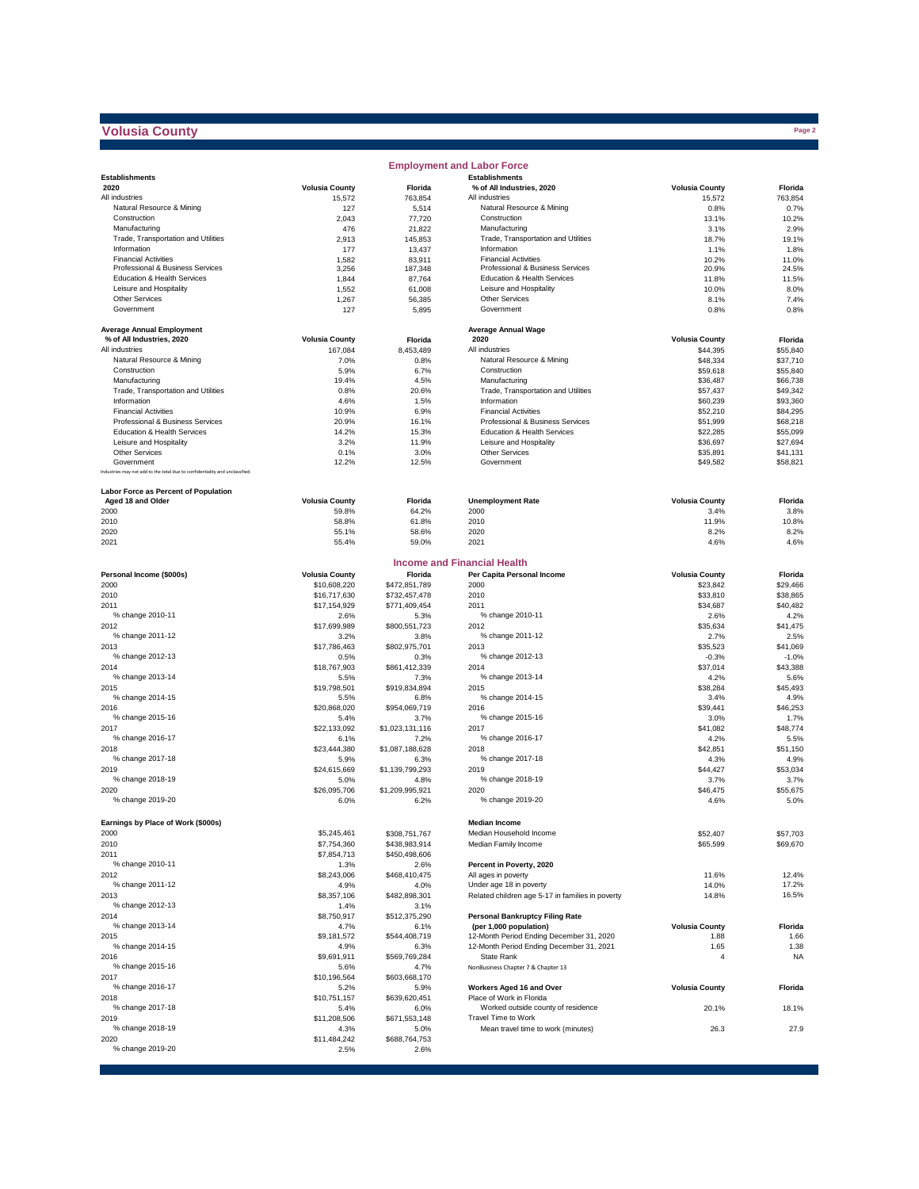## **Volusia County**

|                                                                              |                       |                         | <b>Employment and Labor Force</b>                                  |                               |                      |
|------------------------------------------------------------------------------|-----------------------|-------------------------|--------------------------------------------------------------------|-------------------------------|----------------------|
| <b>Establishments</b>                                                        |                       |                         | <b>Establishments</b>                                              |                               |                      |
| 2020                                                                         | <b>Volusia County</b> | Florida                 | % of All Industries, 2020                                          | <b>Volusia County</b>         | Florida              |
| All industries                                                               | 15,572                | 763.854                 | All industries                                                     | 15,572                        | 763,854              |
| Natural Resource & Mining<br>Construction                                    | 127<br>2,043          | 5,514<br>77,720         | Natural Resource & Mining<br>Construction                          | 0.8%<br>13.1%                 | 0.7%<br>10.2%        |
| Manufacturing                                                                | 476                   | 21,822                  | Manufacturing                                                      | 3.1%                          | 2.9%                 |
| Trade, Transportation and Utilities                                          | 2,913                 | 145,853                 | Trade, Transportation and Utilities                                | 18.7%                         | 19.1%                |
| Information                                                                  | 177                   | 13,437                  | Information                                                        | 1.1%                          | 1.8%                 |
| <b>Financial Activities</b>                                                  | 1,582                 | 83,911                  | <b>Financial Activities</b>                                        | 10.2%                         | 11.0%                |
| Professional & Business Services                                             | 3,256                 | 187,348                 | Professional & Business Services                                   | 20.9%                         | 24.5%                |
| Education & Health Services<br>Leisure and Hospitality                       | 1,844<br>1,552        | 87,764                  | Education & Health Services<br>Leisure and Hospitality             | 11.8%                         | 11.5%<br>8.0%        |
| Other Services                                                               | 1,267                 | 61,008<br>56,385        | <b>Other Services</b>                                              | 10.0%<br>8.1%                 | 7.4%                 |
| Government                                                                   | 127                   | 5,895                   | Government                                                         | 0.8%                          | 0.8%                 |
|                                                                              |                       |                         |                                                                    |                               |                      |
| <b>Average Annual Employment</b>                                             |                       |                         | <b>Average Annual Wage</b>                                         |                               |                      |
| % of All Industries, 2020                                                    | <b>Volusia County</b> | Florida                 | 2020                                                               | <b>Volusia County</b>         | Florida              |
| All industries<br>Natural Resource & Mining                                  | 167.084               | 8,453,489               | All industries<br>Natural Resource & Mining                        | \$44,395                      | \$55,840             |
| Construction                                                                 | 7.0%<br>5.9%          | 0.8%<br>6.7%            | Construction                                                       | \$48,334<br>\$59,618          | \$37,710<br>\$55,840 |
| Manufacturing                                                                | 19.4%                 | 4.5%                    | Manufacturing                                                      | \$36,487                      | \$66,738             |
| Trade, Transportation and Utilities                                          | 0.8%                  | 20.6%                   | Trade, Transportation and Utilities                                | \$57,437                      | \$49,342             |
| Information                                                                  | 4.6%                  | 1.5%                    | Information                                                        | \$60,239                      | \$93,360             |
| <b>Financial Activities</b>                                                  | 10.9%                 | 6.9%                    | <b>Financial Activities</b>                                        | \$52,210                      | \$84,295             |
| Professional & Business Services                                             | 20.9%                 | 16.1%                   | Professional & Business Services                                   | \$51,999                      | \$68,218             |
| Education & Health Services                                                  | 14.2%                 | 15.3%                   | Education & Health Services                                        | \$22,285                      | \$55,099             |
| Leisure and Hospitality                                                      | 3.2%                  | 11.9%                   | Leisure and Hospitality                                            | \$36,697                      | \$27,694             |
| <b>Other Services</b><br>Government                                          | 0.1%<br>12.2%         | 3.0%                    | Other Services<br>Government                                       | \$35,891                      | \$41,131             |
| Industries may not add to the total due to confidentiality and unclassified. |                       | 12.5%                   |                                                                    | \$49,582                      | \$58,821             |
|                                                                              |                       |                         |                                                                    |                               |                      |
| Labor Force as Percent of Population                                         |                       |                         |                                                                    |                               |                      |
| Aged 18 and Older                                                            | <b>Volusia County</b> | Florida                 | <b>Unemployment Rate</b>                                           | <b>Volusia County</b>         | Florida              |
| 2000                                                                         | 59.8%                 | 64.2%                   | 2000                                                               | 3.4%                          | 3.8%                 |
| 2010                                                                         | 58.8%                 | 61.8%                   | 2010                                                               | 11.9%                         | 10.8%                |
| 2020                                                                         | 55.1%                 | 58.6%                   | 2020                                                               | 8.2%                          | 8.2%                 |
| 2021                                                                         | 55.4%                 | 59.0%                   | 2021                                                               | 4.6%                          | 4.6%                 |
|                                                                              |                       |                         | <b>Income and Financial Health</b>                                 |                               |                      |
| Personal Income (\$000s)                                                     | <b>Volusia County</b> | Florida                 | Per Capita Personal Income                                         | <b>Volusia County</b>         | Florida              |
| 2000                                                                         | \$10,608,220          | \$472,851,789           | 2000                                                               | \$23,842                      | \$29,466             |
| 2010                                                                         | \$16,717,630          | \$732,457,478           | 2010                                                               | \$33,810                      | \$38,865             |
| 2011                                                                         | \$17,154,929          | \$771,409,454           | 2011                                                               | \$34,687                      | \$40,482             |
| % change 2010-11                                                             | 2.6%                  | 5.3%                    | % change 2010-11                                                   | 2.6%                          | 4.2%                 |
| 2012                                                                         | \$17,699,989          | \$800,551,723           | 2012                                                               | \$35,634                      | \$41,475             |
| % change 2011-12                                                             | 3.2%                  | 3.8%                    | % change 2011-12                                                   | 2.7%                          | 2.5%                 |
| 2013                                                                         | \$17,786,463          | \$802,975,701           | 2013                                                               | \$35,523                      | \$41,069             |
| % change 2012-13                                                             | 0.5%                  | 0.3%                    | % change 2012-13                                                   | $-0.3%$                       | $-1.0%$              |
| 2014<br>% change 2013-14                                                     | \$18,767,903<br>5.5%  | \$861,412,339<br>7.3%   | 2014<br>% change 2013-14                                           | \$37,014<br>4.2%              | \$43,388<br>5.6%     |
| 2015                                                                         | \$19,798,501          | \$919,834,894           | 2015                                                               | \$38,284                      | \$45,493             |
| % change 2014-15                                                             | 5.5%                  | 6.8%                    | % change 2014-15                                                   | 3.4%                          | 4.9%                 |
| 2016                                                                         | \$20,868,020          | \$954,069,719           | 2016                                                               | \$39,441                      | \$46,253             |
| % change 2015-16                                                             | 5.4%                  | 3.7%                    | % change 2015-16                                                   | 3.0%                          | 1.7%                 |
| 2017                                                                         | \$22,133,092          | \$1,023,131,116         | 2017                                                               | \$41,082                      | \$48,774             |
| % change 2016-17                                                             | 6.1%                  | 7.2%                    | % change 2016-17                                                   | 4.2%                          | 5.5%                 |
| 2018                                                                         | \$23,444,380          | \$1,087,188,628         | 2018                                                               | \$42,851                      | \$51,150             |
| % change 2017-18                                                             | 5.9%                  | 6.3%                    | % change 2017-18                                                   | 4.3%                          | 4.9%                 |
| 2019                                                                         | \$24,615,669          | \$1,139,799,293         | 2019                                                               | \$44,427                      | \$53.034             |
| % change 2018-19                                                             | 5.0%                  | 4.8%                    | % change 2018-19                                                   | 3.7%                          | 3.7%                 |
| 2020<br>% change 2019-20                                                     | \$26,095,706<br>6.0%  | \$1,209,995,921<br>6.2% | 2020<br>% change 2019-20                                           | \$46,475<br>4.6%              | \$55,675<br>5.0%     |
|                                                                              |                       |                         |                                                                    |                               |                      |
| Earnings by Place of Work (\$000s)                                           |                       |                         | <b>Median Income</b>                                               |                               |                      |
| 2000                                                                         | \$5,245,461           | \$308,751,767           | Median Household Income                                            | \$52,407                      | \$57,703             |
| 2010                                                                         | \$7,754,360           | \$438,983,914           | Median Family Income                                               | \$65,599                      | \$69,670             |
| 2011                                                                         | \$7,854,713           | \$450,498,606           |                                                                    |                               |                      |
| % change 2010-11                                                             | 1.3%                  | 2.6%                    | Percent in Poverty, 2020                                           |                               |                      |
| 2012                                                                         | \$8,243,006           | \$468,410,475           | All ages in poverty                                                | 11.6%                         | 12.4%                |
| % change 2011-12                                                             | 4.9%                  | 4.0%                    | Under age 18 in poverty                                            | 14.0%                         | 17.2%                |
| 2013                                                                         | \$8,357,106           | \$482,898,301           | Related children age 5-17 in families in poverty                   | 14.8%                         | 16.5%                |
| % change 2012-13                                                             | 1.4%                  | 3.1%                    |                                                                    |                               |                      |
| 2014                                                                         | \$8,750,917           | \$512,375,290           | <b>Personal Bankruptcy Filing Rate</b>                             |                               |                      |
| % change 2013-14<br>2015                                                     | 4.7%                  | 6.1%<br>\$544,408,719   | (per 1,000 population)<br>12-Month Period Ending December 31, 2020 | <b>Volusia County</b><br>1.88 | Florida<br>1.66      |
| % change 2014-15                                                             | \$9,181,572           |                         | 12-Month Period Ending December 31, 2021                           | 1.65                          | 1.38                 |
| 2016                                                                         | 4.9%<br>\$9,691,911   | 6.3%<br>\$569,769,284   | State Rank                                                         | $\overline{4}$                | <b>NA</b>            |
| % change 2015-16                                                             | 5.6%                  | 4.7%                    | NonBusiness Chapter 7 & Chapter 13                                 |                               |                      |
| 2017                                                                         | \$10,196,564          | \$603,668,170           |                                                                    |                               |                      |
| % change 2016-17                                                             | 5.2%                  | 5.9%                    | Workers Aged 16 and Over                                           | <b>Volusia County</b>         | Florida              |
| 2018                                                                         | \$10,751,157          | \$639,620,451           | Place of Work in Florida                                           |                               |                      |
| % change 2017-18                                                             | 5.4%                  | 6.0%                    | Worked outside county of residence                                 | 20.1%                         | 18.1%                |
| 2019                                                                         | \$11,208,506          | \$671,553,148           | Travel Time to Work                                                |                               |                      |
| % change 2018-19                                                             | 4.3%                  | 5.0%                    | Mean travel time to work (minutes)                                 | 26.3                          | 27.9                 |
| 2020                                                                         | \$11,484,242          | \$688,764,753           |                                                                    |                               |                      |
| % change 2019-20                                                             | 2.5%                  | 2.6%                    |                                                                    |                               |                      |